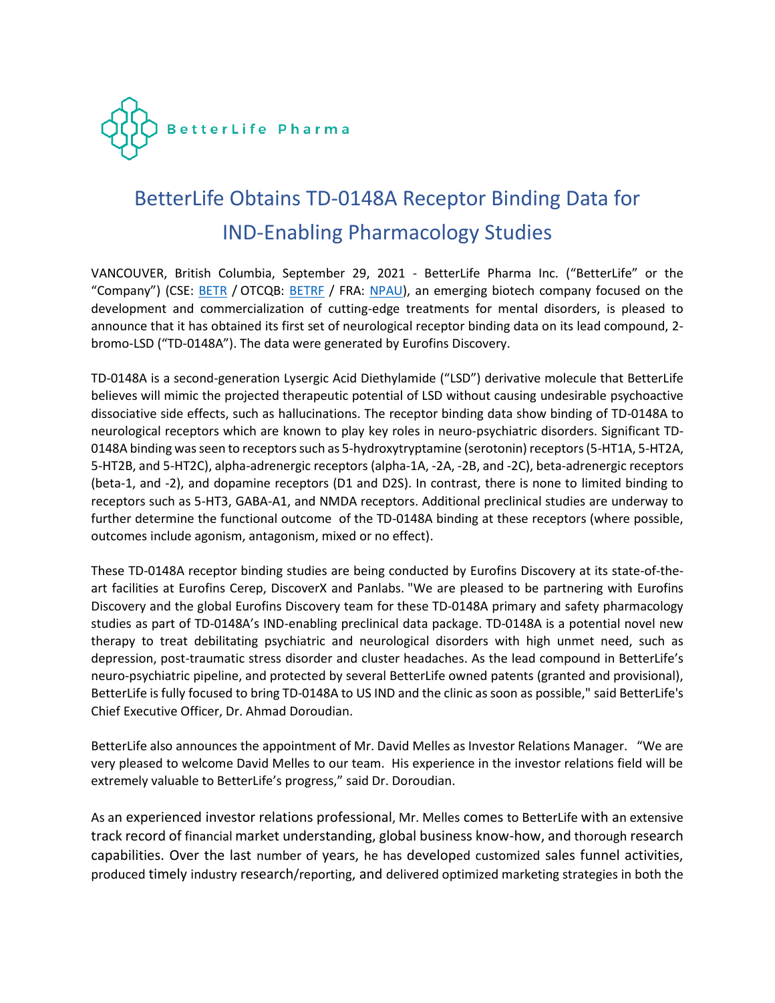

# BetterLife Obtains TD-0148A Receptor Binding Data for IND-Enabling Pharmacology Studies

VANCOUVER, British Columbia, September 29, 2021 - BetterLife Pharma Inc. ("BetterLife" or the "Company") (CSE: **BETR** / OTCQB: [BETR](about:blank)F / FRA: [NPAU\)](about:blank), an emerging biotech company focused on the development and commercialization of cutting-edge treatments for mental disorders, is pleased to announce that it has obtained its first set of neurological receptor binding data on its lead compound, 2 bromo-LSD ("TD-0148A"). The data were generated by Eurofins Discovery.

TD-0148A is a second-generation Lysergic Acid Diethylamide ("LSD") derivative molecule that BetterLife believes will mimic the projected therapeutic potential of LSD without causing undesirable psychoactive dissociative side effects, such as hallucinations. The receptor binding data show binding of TD-0148A to neurological receptors which are known to play key roles in neuro-psychiatric disorders. Significant TD-0148A binding was seen to receptors such as 5-hydroxytryptamine (serotonin) receptors (5-HT1A, 5-HT2A, 5-HT2B, and 5-HT2C), alpha-adrenergic receptors (alpha-1A, -2A, -2B, and -2C), beta-adrenergic receptors (beta-1, and -2), and dopamine receptors (D1 and D2S). In contrast, there is none to limited binding to receptors such as 5-HT3, GABA-A1, and NMDA receptors. Additional preclinical studies are underway to further determine the functional outcome of the TD-0148A binding at these receptors (where possible, outcomes include agonism, antagonism, mixed or no effect).

These TD-0148A receptor binding studies are being conducted by Eurofins Discovery at its state-of-theart facilities at Eurofins Cerep, DiscoverX and Panlabs. "We are pleased to be partnering with Eurofins Discovery and the global Eurofins Discovery team for these TD-0148A primary and safety pharmacology studies as part of TD-0148A's IND-enabling preclinical data package. TD-0148A is a potential novel new therapy to treat debilitating psychiatric and neurological disorders with high unmet need, such as depression, post-traumatic stress disorder and cluster headaches. As the lead compound in BetterLife's neuro-psychiatric pipeline, and protected by several BetterLife owned patents (granted and provisional), BetterLife is fully focused to bring TD-0148A to US IND and the clinic as soon as possible," said BetterLife's Chief Executive Officer, Dr. Ahmad Doroudian.

BetterLife also announces the appointment of Mr. David Melles as Investor Relations Manager. "We are very pleased to welcome David Melles to our team. His experience in the investor relations field will be extremely valuable to BetterLife's progress," said Dr. Doroudian.

As an experienced investor relations professional, Mr. Melles comes to BetterLife with an extensive track record of financial market understanding, global business know-how, and thorough research capabilities. Over the last number of years, he has developed customized sales funnel activities, produced timely industry research/reporting, and delivered optimized marketing strategies in both the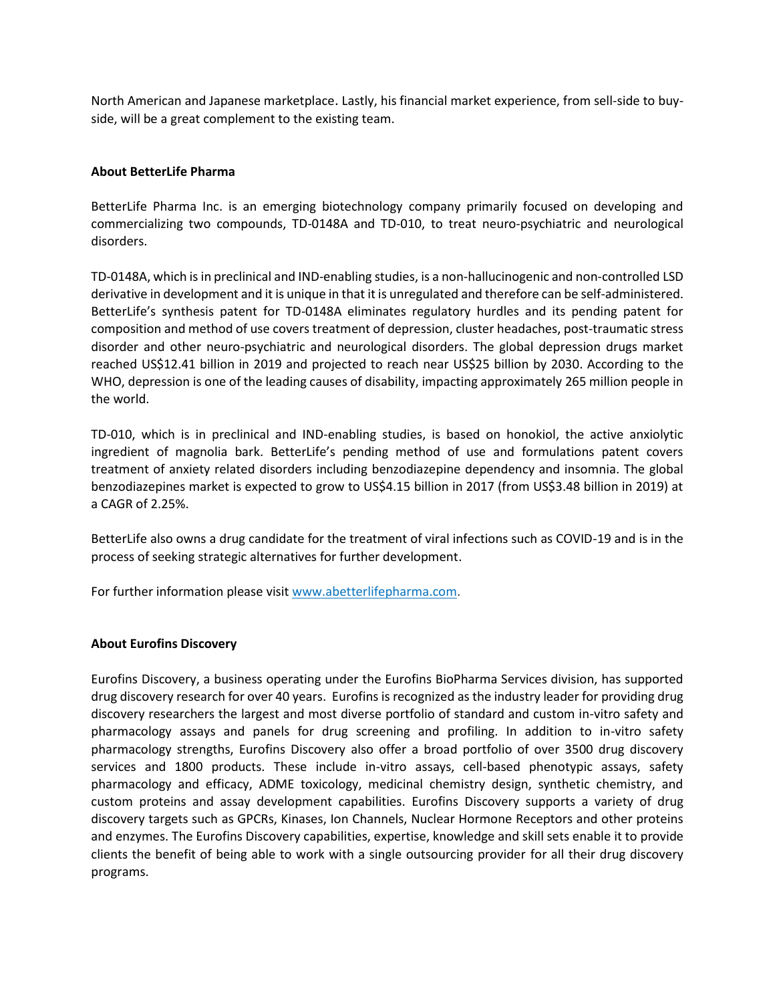North American and Japanese marketplace. Lastly, his financial market experience, from sell-side to buyside, will be a great complement to the existing team.

# **About BetterLife Pharma**

BetterLife Pharma Inc. is an emerging biotechnology company primarily focused on developing and commercializing two compounds, TD-0148A and TD-010, to treat neuro-psychiatric and neurological disorders.

TD-0148A, which is in preclinical and IND-enabling studies, is a non-hallucinogenic and non-controlled LSD derivative in development and it is unique in that it is unregulated and therefore can be self-administered. BetterLife's synthesis patent for TD-0148A eliminates regulatory hurdles and its pending patent for composition and method of use covers treatment of depression, cluster headaches, post-traumatic stress disorder and other neuro-psychiatric and neurological disorders. The global depression drugs market reached US\$12.41 billion in 2019 and projected to reach near US\$25 billion by 2030. According to the WHO, depression is one of the leading causes of disability, impacting approximately 265 million people in the world.

TD-010, which is in preclinical and IND-enabling studies, is based on honokiol, the active anxiolytic ingredient of magnolia bark. BetterLife's pending method of use and formulations patent covers treatment of anxiety related disorders including benzodiazepine dependency and insomnia. The global benzodiazepines market is expected to grow to US\$4.15 billion in 2017 (from US\$3.48 billion in 2019) at a CAGR of 2.25%.

BetterLife also owns a drug candidate for the treatment of viral infections such as COVID-19 and is in the process of seeking strategic alternatives for further development.

For further information please visit [www.abetterlifepharma.com.](about:blank)

## **About Eurofins Discovery**

Eurofins Discovery, a business operating under the Eurofins BioPharma Services division, has supported drug discovery research for over 40 years. Eurofins is recognized as the industry leader for providing drug discovery researchers the largest and most diverse portfolio of standard and custom in-vitro safety and pharmacology assays and panels for drug screening and profiling. In addition to in-vitro safety pharmacology strengths, Eurofins Discovery also offer a broad portfolio of over 3500 drug discovery services and 1800 products. These include in-vitro assays, cell-based phenotypic assays, safety pharmacology and efficacy, ADME toxicology, medicinal chemistry design, synthetic chemistry, and custom proteins and assay development capabilities. Eurofins Discovery supports a variety of drug discovery targets such as GPCRs, Kinases, Ion Channels, Nuclear Hormone Receptors and other proteins and enzymes. The Eurofins Discovery capabilities, expertise, knowledge and skill sets enable it to provide clients the benefit of being able to work with a single outsourcing provider for all their drug discovery programs.